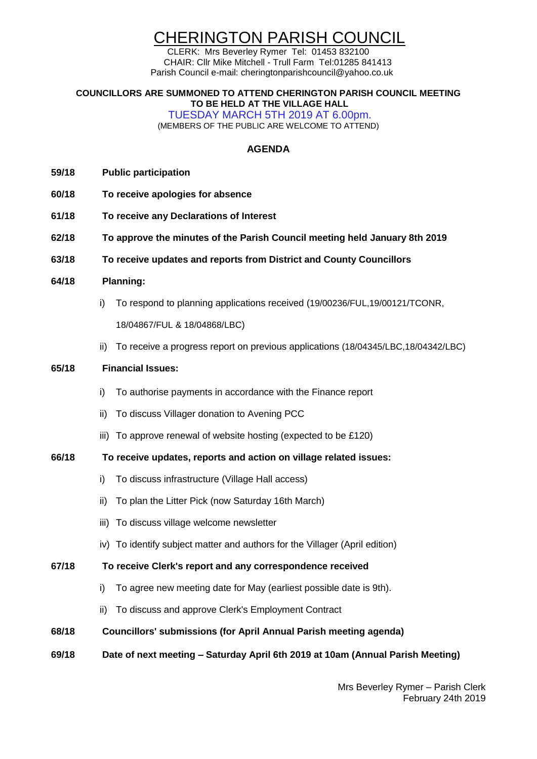# CHERINGTON PARISH COUNCIL

CLERK: Mrs Beverley Rymer Tel: 01453 832100 CHAIR: Cllr Mike Mitchell - Trull Farm Tel:01285 841413 Parish Council e-mail: cheringtonparishcouncil@yahoo.co.uk

#### **COUNCILLORS ARE SUMMONED TO ATTEND CHERINGTON PARISH COUNCIL MEETING TO BE HELD AT THE VILLAGE HALL**

TUESDAY MARCH 5TH 2019 AT 6.00pm. (MEMBERS OF THE PUBLIC ARE WELCOME TO ATTEND)

# **AGENDA**

- **59/18 Public participation**
- **60/18 To receive apologies for absence**
- **61/18 To receive any Declarations of Interest**
- **62/18 To approve the minutes of the Parish Council meeting held January 8th 2019**
- **63/18 To receive updates and reports from District and County Councillors**
- **64/18 Planning:**
	- i) To respond to planning applications received (19/00236/FUL,19/00121/TCONR, 18/04867/FUL & 18/04868/LBC)
	- ii) To receive a progress report on previous applications (18/04345/LBC,18/04342/LBC)

## **65/18 Financial Issues:**

- i) To authorise payments in accordance with the Finance report
- ii) To discuss Villager donation to Avening PCC
- iii) To approve renewal of website hosting (expected to be £120)

# **66/18 To receive updates, reports and action on village related issues:**

- i) To discuss infrastructure (Village Hall access)
- ii) To plan the Litter Pick (now Saturday 16th March)
- iii) To discuss village welcome newsletter
- iv) To identify subject matter and authors for the Villager (April edition)

#### **67/18 To receive Clerk's report and any correspondence received**

- i) To agree new meeting date for May (earliest possible date is 9th).
- ii) To discuss and approve Clerk's Employment Contract
- **68/18 Councillors' submissions (for April Annual Parish meeting agenda)**
- **69/18 Date of next meeting – Saturday April 6th 2019 at 10am (Annual Parish Meeting)**